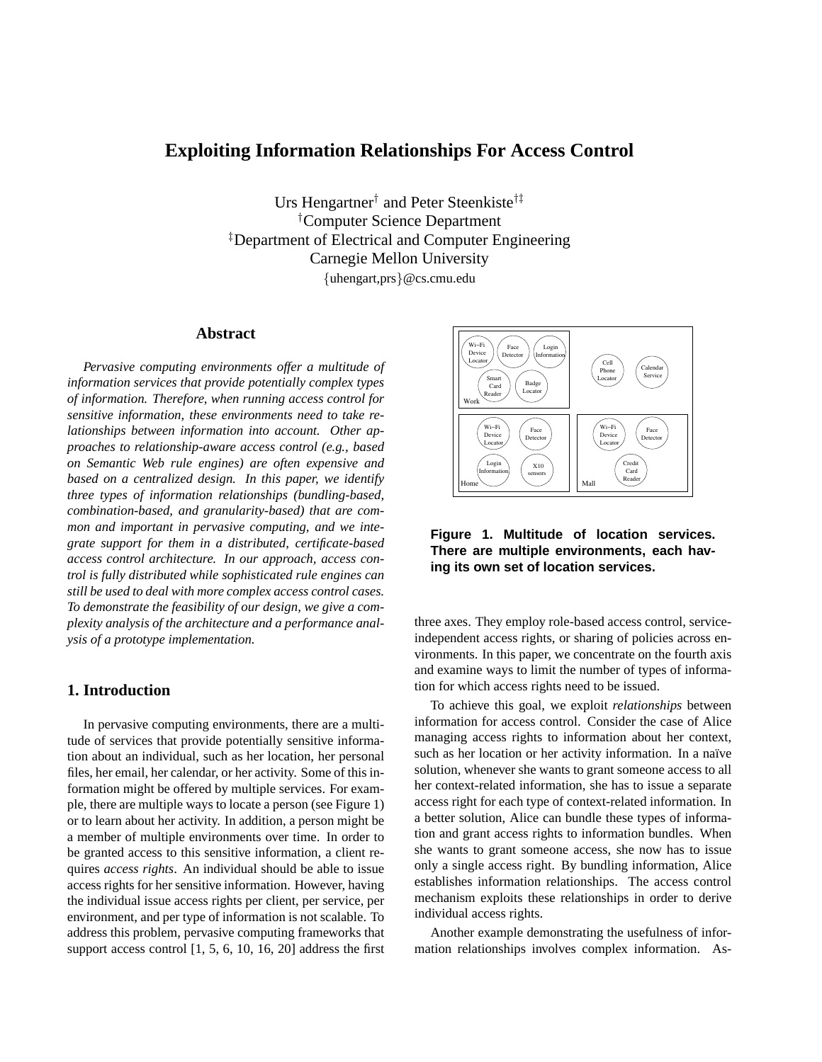# **Exploiting Information Relationships For Access Control**

Urs Hengartner<sup>†</sup> and Peter Steenkiste<sup>†‡</sup> †Computer Science Department ‡Department of Electrical and Computer Engineering Carnegie Mellon University {uhengart,prs}@cs.cmu.edu

# **Abstract**

*Pervasive computing environments offer a multitude of information services that provide potentially complex types of information. Therefore, when running access control for sensitive information, these environments need to take relationships between information into account. Other approaches to relationship-aware access control (e.g., based on Semantic Web rule engines) are often expensive and based on a centralized design. In this paper, we identify three types of information relationships (bundling-based, combination-based, and granularity-based) that are common and important in pervasive computing, and we integrate support for them in a distributed, certificate-based access control architecture. In our approach, access control is fully distributed while sophisticated rule engines can still be used to deal with more complex access control cases. To demonstrate the feasibility of our design, we give a complexity analysis of the architecture and a performance analysis of a prototype implementation.*

# **1. Introduction**

In pervasive computing environments, there are a multitude of services that provide potentially sensitive information about an individual, such as her location, her personal files, her email, her calendar, or her activity. Some of this information might be offered by multiple services. For example, there are multiple ways to locate a person (see Figure 1) or to learn about her activity. In addition, a person might be a member of multiple environments over time. In order to be granted access to this sensitive information, a client requires *access rights*. An individual should be able to issue access rights for her sensitive information. However, having the individual issue access rights per client, per service, per environment, and per type of information is not scalable. To address this problem, pervasive computing frameworks that support access control [1, 5, 6, 10, 16, 20] address the first



**Figure 1. Multitude of location services. There are multiple environments, each having its own set of location services.**

three axes. They employ role-based access control, serviceindependent access rights, or sharing of policies across environments. In this paper, we concentrate on the fourth axis and examine ways to limit the number of types of information for which access rights need to be issued.

To achieve this goal, we exploit *relationships* between information for access control. Consider the case of Alice managing access rights to information about her context, such as her location or her activity information. In a naïve solution, whenever she wants to grant someone access to all her context-related information, she has to issue a separate access right for each type of context-related information. In a better solution, Alice can bundle these types of information and grant access rights to information bundles. When she wants to grant someone access, she now has to issue only a single access right. By bundling information, Alice establishes information relationships. The access control mechanism exploits these relationships in order to derive individual access rights.

Another example demonstrating the usefulness of information relationships involves complex information. As-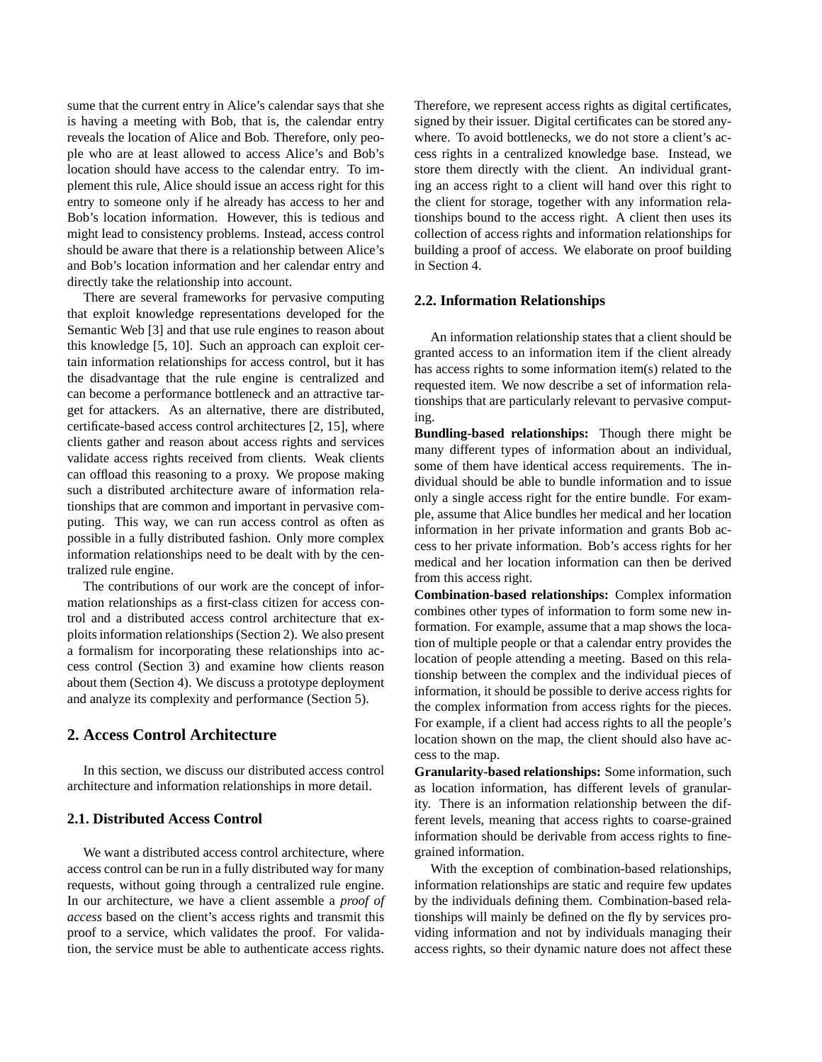sume that the current entry in Alice's calendar says that she is having a meeting with Bob, that is, the calendar entry reveals the location of Alice and Bob. Therefore, only people who are at least allowed to access Alice's and Bob's location should have access to the calendar entry. To implement this rule, Alice should issue an access right for this entry to someone only if he already has access to her and Bob's location information. However, this is tedious and might lead to consistency problems. Instead, access control should be aware that there is a relationship between Alice's and Bob's location information and her calendar entry and directly take the relationship into account.

There are several frameworks for pervasive computing that exploit knowledge representations developed for the Semantic Web [3] and that use rule engines to reason about this knowledge [5, 10]. Such an approach can exploit certain information relationships for access control, but it has the disadvantage that the rule engine is centralized and can become a performance bottleneck and an attractive target for attackers. As an alternative, there are distributed, certificate-based access control architectures [2, 15], where clients gather and reason about access rights and services validate access rights received from clients. Weak clients can offload this reasoning to a proxy. We propose making such a distributed architecture aware of information relationships that are common and important in pervasive computing. This way, we can run access control as often as possible in a fully distributed fashion. Only more complex information relationships need to be dealt with by the centralized rule engine.

The contributions of our work are the concept of information relationships as a first-class citizen for access control and a distributed access control architecture that exploits information relationships (Section 2). We also present a formalism for incorporating these relationships into access control (Section 3) and examine how clients reason about them (Section 4). We discuss a prototype deployment and analyze its complexity and performance (Section 5).

# **2. Access Control Architecture**

In this section, we discuss our distributed access control architecture and information relationships in more detail.

# **2.1. Distributed Access Control**

We want a distributed access control architecture, where access control can be run in a fully distributed way for many requests, without going through a centralized rule engine. In our architecture, we have a client assemble a *proof of access* based on the client's access rights and transmit this proof to a service, which validates the proof. For validation, the service must be able to authenticate access rights.

Therefore, we represent access rights as digital certificates, signed by their issuer. Digital certificates can be stored anywhere. To avoid bottlenecks, we do not store a client's access rights in a centralized knowledge base. Instead, we store them directly with the client. An individual granting an access right to a client will hand over this right to the client for storage, together with any information relationships bound to the access right. A client then uses its collection of access rights and information relationships for building a proof of access. We elaborate on proof building in Section 4.

# **2.2. Information Relationships**

An information relationship states that a client should be granted access to an information item if the client already has access rights to some information item(s) related to the requested item. We now describe a set of information relationships that are particularly relevant to pervasive computing.

**Bundling-based relationships:** Though there might be many different types of information about an individual, some of them have identical access requirements. The individual should be able to bundle information and to issue only a single access right for the entire bundle. For example, assume that Alice bundles her medical and her location information in her private information and grants Bob access to her private information. Bob's access rights for her medical and her location information can then be derived from this access right.

**Combination-based relationships:** Complex information combines other types of information to form some new information. For example, assume that a map shows the location of multiple people or that a calendar entry provides the location of people attending a meeting. Based on this relationship between the complex and the individual pieces of information, it should be possible to derive access rights for the complex information from access rights for the pieces. For example, if a client had access rights to all the people's location shown on the map, the client should also have access to the map.

**Granularity-based relationships:** Some information, such as location information, has different levels of granularity. There is an information relationship between the different levels, meaning that access rights to coarse-grained information should be derivable from access rights to finegrained information.

With the exception of combination-based relationships, information relationships are static and require few updates by the individuals defining them. Combination-based relationships will mainly be defined on the fly by services providing information and not by individuals managing their access rights, so their dynamic nature does not affect these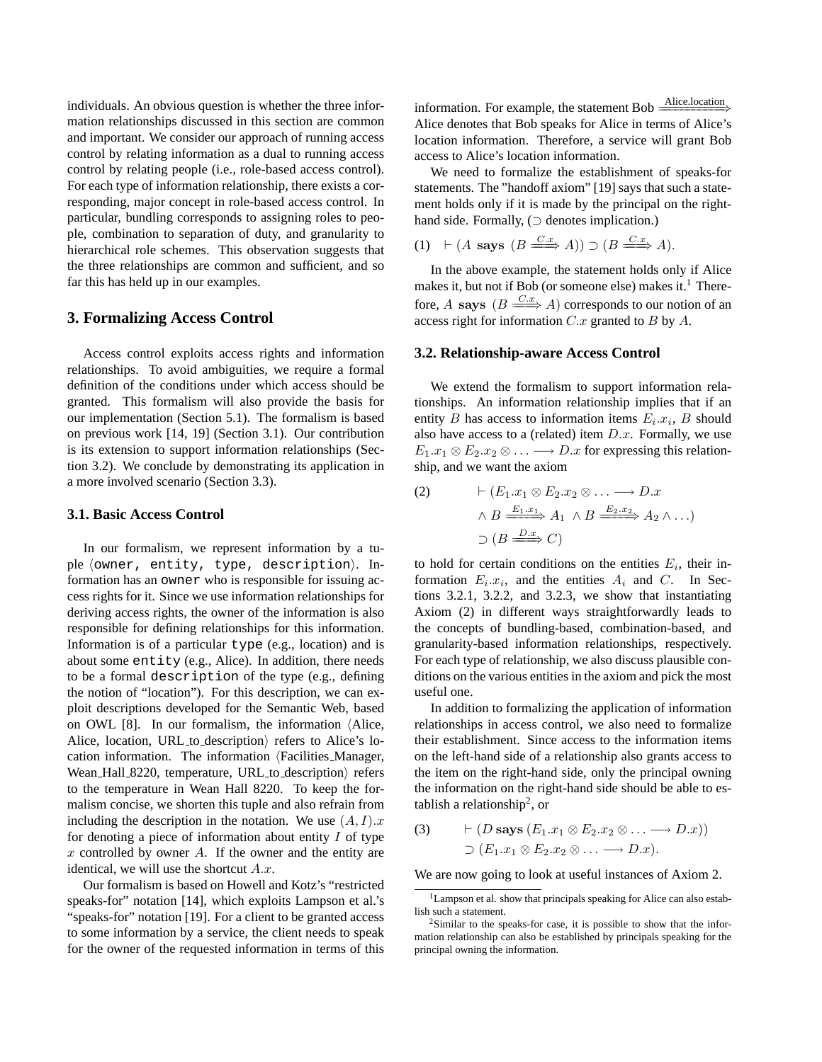individuals. An obvious question is whether the three information relationships discussed in this section are common and important. We consider our approach of running access control by relating information as a dual to running access control by relating people (i.e., role-based access control). For each type of information relationship, there exists a corresponding, major concept in role-based access control. In particular, bundling corresponds to assigning roles to people, combination to separation of duty, and granularity to hierarchical role schemes. This observation suggests that the three relationships are common and sufficient, and so far this has held up in our examples.

### **3. Formalizing Access Control**

Access control exploits access rights and information relationships. To avoid ambiguities, we require a formal definition of the conditions under which access should be granted. This formalism will also provide the basis for our implementation (Section 5.1). The formalism is based on previous work [14, 19] (Section 3.1). Our contribution is its extension to support information relationships (Section 3.2). We conclude by demonstrating its application in a more involved scenario (Section 3.3).

#### **3.1. Basic Access Control**

In our formalism, we represent information by a tuple (owner, entity, type, description). Information has an owner who is responsible for issuing access rights for it. Since we use information relationships for deriving access rights, the owner of the information is also responsible for defining relationships for this information. Information is of a particular type (e.g., location) and is about some entity (e.g., Alice). In addition, there needs to be a formal description of the type (e.g., defining the notion of "location"). For this description, we can exploit descriptions developed for the Semantic Web, based on OWL [8]. In our formalism, the information  $\Delta$ lice, Alice, location, URL to description) refers to Alice's location information. The information  $\langle$  Facilities Manager, Wean Hall 8220, temperature, URL to description) refers to the temperature in Wean Hall 8220. To keep the formalism concise, we shorten this tuple and also refrain from including the description in the notation. We use  $(A, I)$ . for denoting a piece of information about entity  $I$  of type x controlled by owner A. If the owner and the entity are identical, we will use the shortcut  $A.x$ .

Our formalism is based on Howell and Kotz's "restricted speaks-for" notation [14], which exploits Lampson et al.'s "speaks-for" notation [19]. For a client to be granted access to some information by a service, the client needs to speak for the owner of the requested information in terms of this information. For example, the statement Bob  $\frac{\text{Alice location}}{\text{face}}$ Alice denotes that Bob speaks for Alice in terms of Alice's location information. Therefore, a service will grant Bob access to Alice's location information.

We need to formalize the establishment of speaks-for statements. The "handoff axiom" [19] says that such a statement holds only if it is made by the principal on the righthand side. Formally,  $\supset$  denotes implication.)

$$
(1) \quad \vdash (A \text{ says } (B \xrightarrow{C.x} A)) \supset (B \xrightarrow{C.x} A).
$$

In the above example, the statement holds only if Alice makes it, but not if Bob (or someone else) makes it.<sup>1</sup> Therefore, A says  $(B \xrightarrow{C.x} A)$  corresponds to our notion of an access right for information  $C.x$  granted to  $B$  by  $A$ .

#### **3.2. Relationship-aware Access Control**

We extend the formalism to support information relationships. An information relationship implies that if an entity  $B$  has access to information items  $E_i.x_i$ ,  $B$  should also have access to a (related) item  $D.x$ . Formally, we use  $E_1.x_1 \otimes E_2.x_2 \otimes \ldots \longrightarrow D.x$  for expressing this relationship, and we want the axiom

(2) 
$$
\vdash (E_1.x_1 \otimes E_2.x_2 \otimes \ldots \longrightarrow D.x
$$
  
\n $\land B \xrightarrow{E_1.x_1} A_1 \land B \xrightarrow{E_2.x_2} A_2 \land \ldots)$   
\n $\supset (B \xrightarrow{D.x} C)$ 

to hold for certain conditions on the entities  $E_i$ , their information  $E_i.x_i$ , and the entities  $A_i$  and C. In Sections 3.2.1, 3.2.2, and 3.2.3, we show that instantiating Axiom (2) in different ways straightforwardly leads to the concepts of bundling-based, combination-based, and granularity-based information relationships, respectively. For each type of relationship, we also discuss plausible conditions on the various entities in the axiom and pick the most useful one.

In addition to formalizing the application of information relationships in access control, we also need to formalize their establishment. Since access to the information items on the left-hand side of a relationship also grants access to the item on the right-hand side, only the principal owning the information on the right-hand side should be able to establish a relationship<sup>2</sup>, or

(3) 
$$
\vdash (D \text{ says } (E_1.x_1 \otimes E_2.x_2 \otimes \ldots \longrightarrow D.x))
$$
  
\n $\supset (E_1.x_1 \otimes E_2.x_2 \otimes \ldots \longrightarrow D.x).$ 

We are now going to look at useful instances of Axiom 2.

<sup>&</sup>lt;sup>1</sup>Lampson et al. show that principals speaking for Alice can also establish such a statement.

 $2$ Similar to the speaks-for case, it is possible to show that the information relationship can also be established by principals speaking for the principal owning the information.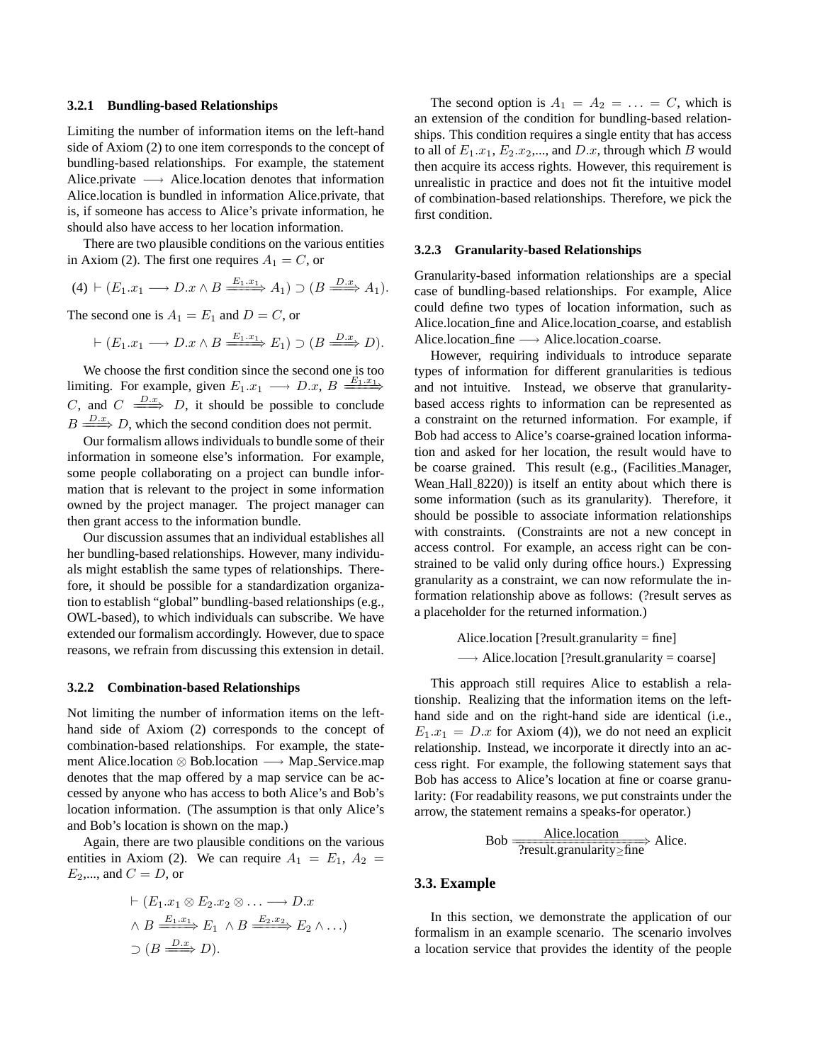#### **3.2.1 Bundling-based Relationships**

Limiting the number of information items on the left-hand side of Axiom (2) to one item corresponds to the concept of bundling-based relationships. For example, the statement Alice.private  $\longrightarrow$  Alice.location denotes that information Alice.location is bundled in information Alice.private, that is, if someone has access to Alice's private information, he should also have access to her location information.

There are two plausible conditions on the various entities in Axiom (2). The first one requires  $A_1 = C$ , or

$$
(4) \vdash (E_1.x_1 \longrightarrow D.x \land B \xrightarrow{E_1.x_1} A_1) \supset (B \xrightarrow{D.x} A_1).
$$

The second one is  $A_1 = E_1$  and  $D = C$ , or

$$
\vdash (E_1.x_1 \longrightarrow D.x \land B \xrightarrow{E_1.x_1} E_1) \supset (B \xrightarrow{D.x} D).
$$

We choose the first condition since the second one is too limiting. For example, given  $E_1.x_1 \longrightarrow D.x$ ,  $B \xrightarrow{E_1.x_1}$ C, and  $C \xrightarrow{D.x} D$ , it should be possible to conclude  $B \xrightarrow{D.x} D$ , which the second condition does not permit.

Our formalism allows individuals to bundle some of their information in someone else's information. For example, some people collaborating on a project can bundle information that is relevant to the project in some information owned by the project manager. The project manager can then grant access to the information bundle.

Our discussion assumes that an individual establishes all her bundling-based relationships. However, many individuals might establish the same types of relationships. Therefore, it should be possible for a standardization organization to establish "global" bundling-based relationships (e.g., OWL-based), to which individuals can subscribe. We have extended our formalism accordingly. However, due to space reasons, we refrain from discussing this extension in detail.

#### **3.2.2 Combination-based Relationships**

Not limiting the number of information items on the lefthand side of Axiom (2) corresponds to the concept of combination-based relationships. For example, the statement Alice.location ⊗ Bob.location → Map Service.map denotes that the map offered by a map service can be accessed by anyone who has access to both Alice's and Bob's location information. (The assumption is that only Alice's and Bob's location is shown on the map.)

Again, there are two plausible conditions on the various entities in Axiom (2). We can require  $A_1 = E_1$ ,  $A_2 =$  $E_2$ ,..., and  $C = D$ , or

$$
\vdash (E_1.x_1 \otimes E_2.x_2 \otimes \ldots \longrightarrow D.x
$$
  
\n
$$
\land B \xrightarrow{E_1.x_1} E_1 \land B \xrightarrow{E_2.x_2} E_2 \land \ldots)
$$
  
\n
$$
\supset (B \xrightarrow{D.x} D).
$$

The second option is  $A_1 = A_2 = \ldots = C$ , which is an extension of the condition for bundling-based relationships. This condition requires a single entity that has access to all of  $E_1.x_1, E_2.x_2,...$ , and  $D.x$ , through which B would then acquire its access rights. However, this requirement is unrealistic in practice and does not fit the intuitive model of combination-based relationships. Therefore, we pick the first condition.

#### **3.2.3 Granularity-based Relationships**

Granularity-based information relationships are a special case of bundling-based relationships. For example, Alice could define two types of location information, such as Alice.location fine and Alice.location coarse, and establish Alice.location fine −→ Alice.location coarse.

However, requiring individuals to introduce separate types of information for different granularities is tedious and not intuitive. Instead, we observe that granularitybased access rights to information can be represented as a constraint on the returned information. For example, if Bob had access to Alice's coarse-grained location information and asked for her location, the result would have to be coarse grained. This result (e.g., (Facilities Manager, Wean Hall 8220)) is itself an entity about which there is some information (such as its granularity). Therefore, it should be possible to associate information relationships with constraints. (Constraints are not a new concept in access control. For example, an access right can be constrained to be valid only during office hours.) Expressing granularity as a constraint, we can now reformulate the information relationship above as follows: (?result serves as a placeholder for the returned information.)

> Alice.location [?result.granularity = fine]  $\rightarrow$  Alice.location [?result.granularity = coarse]

This approach still requires Alice to establish a relationship. Realizing that the information items on the lefthand side and on the right-hand side are identical (i.e.,  $E_1.x_1 = D.x$  for Axiom (4)), we do not need an explicit relationship. Instead, we incorporate it directly into an access right. For example, the following statement says that Bob has access to Alice's location at fine or coarse granularity: (For readability reasons, we put constraints under the arrow, the statement remains a speaks-for operator.)

Bob 
$$
\frac{\text{Alice.location}}{\text{?result.} \text{granularity}\geq \text{fine}}
$$
 Alice.

#### **3.3. Example**

In this section, we demonstrate the application of our formalism in an example scenario. The scenario involves a location service that provides the identity of the people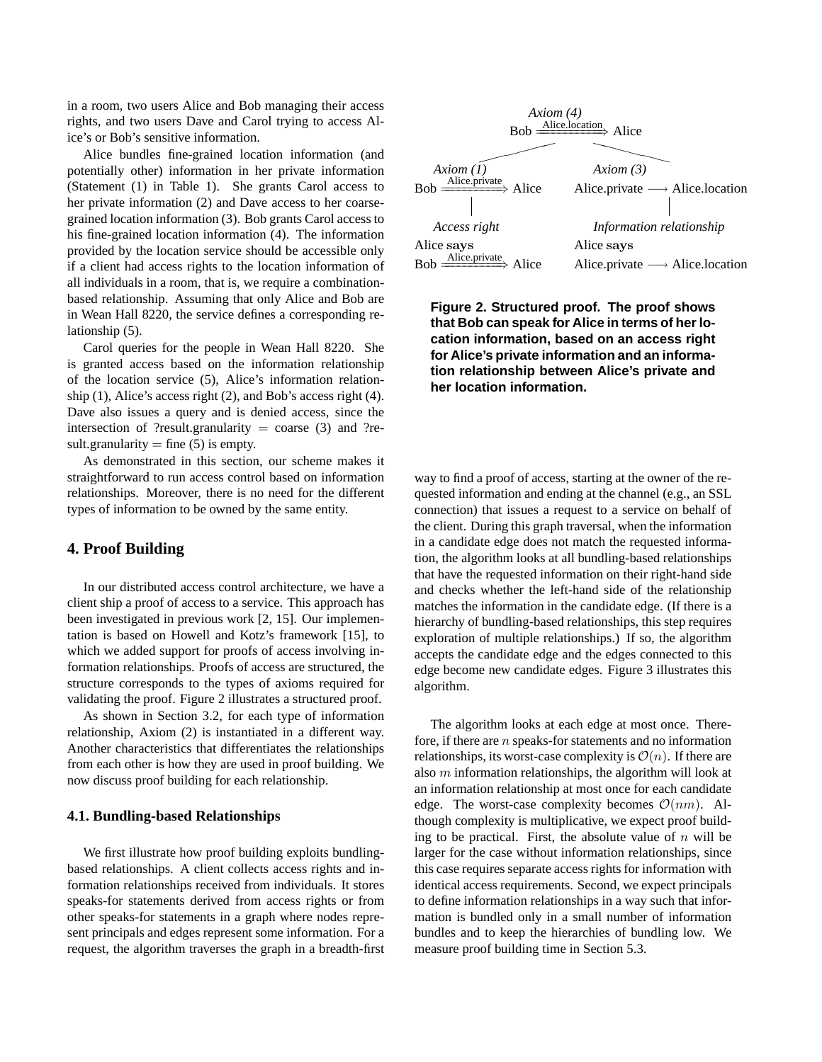in a room, two users Alice and Bob managing their access rights, and two users Dave and Carol trying to access Alice's or Bob's sensitive information.

Alice bundles fine-grained location information (and potentially other) information in her private information (Statement (1) in Table 1). She grants Carol access to her private information (2) and Dave access to her coarsegrained location information (3). Bob grants Carol access to his fine-grained location information (4). The information provided by the location service should be accessible only if a client had access rights to the location information of all individuals in a room, that is, we require a combinationbased relationship. Assuming that only Alice and Bob are in Wean Hall 8220, the service defines a corresponding relationship (5).

Carol queries for the people in Wean Hall 8220. She is granted access based on the information relationship of the location service (5), Alice's information relationship (1), Alice's access right (2), and Bob's access right (4). Dave also issues a query and is denied access, since the intersection of ?result.granularity = coarse (3) and ?result.granularity = fine  $(5)$  is empty.

As demonstrated in this section, our scheme makes it straightforward to run access control based on information relationships. Moreover, there is no need for the different types of information to be owned by the same entity.

# **4. Proof Building**

In our distributed access control architecture, we have a client ship a proof of access to a service. This approach has been investigated in previous work [2, 15]. Our implementation is based on Howell and Kotz's framework [15], to which we added support for proofs of access involving information relationships. Proofs of access are structured, the structure corresponds to the types of axioms required for validating the proof. Figure 2 illustrates a structured proof.

As shown in Section 3.2, for each type of information relationship, Axiom (2) is instantiated in a different way. Another characteristics that differentiates the relationships from each other is how they are used in proof building. We now discuss proof building for each relationship.

### **4.1. Bundling-based Relationships**

We first illustrate how proof building exploits bundlingbased relationships. A client collects access rights and information relationships received from individuals. It stores speaks-for statements derived from access rights or from other speaks-for statements in a graph where nodes represent principals and edges represent some information. For a request, the algorithm traverses the graph in a breadth-first



**Figure 2. Structured proof. The proof shows that Bob can speak for Alice in terms of her location information, based on an access right for Alice's private information and an information relationship between Alice's private and her location information.**

way to find a proof of access, starting at the owner of the requested information and ending at the channel (e.g., an SSL connection) that issues a request to a service on behalf of the client. During this graph traversal, when the information in a candidate edge does not match the requested information, the algorithm looks at all bundling-based relationships that have the requested information on their right-hand side and checks whether the left-hand side of the relationship matches the information in the candidate edge. (If there is a hierarchy of bundling-based relationships, this step requires exploration of multiple relationships.) If so, the algorithm accepts the candidate edge and the edges connected to this edge become new candidate edges. Figure 3 illustrates this algorithm.

The algorithm looks at each edge at most once. Therefore, if there are n speaks-for statements and no information relationships, its worst-case complexity is  $\mathcal{O}(n)$ . If there are also m information relationships, the algorithm will look at an information relationship at most once for each candidate edge. The worst-case complexity becomes  $\mathcal{O}(nm)$ . Although complexity is multiplicative, we expect proof building to be practical. First, the absolute value of  $n$  will be larger for the case without information relationships, since this case requires separate access rights for information with identical access requirements. Second, we expect principals to define information relationships in a way such that information is bundled only in a small number of information bundles and to keep the hierarchies of bundling low. We measure proof building time in Section 5.3.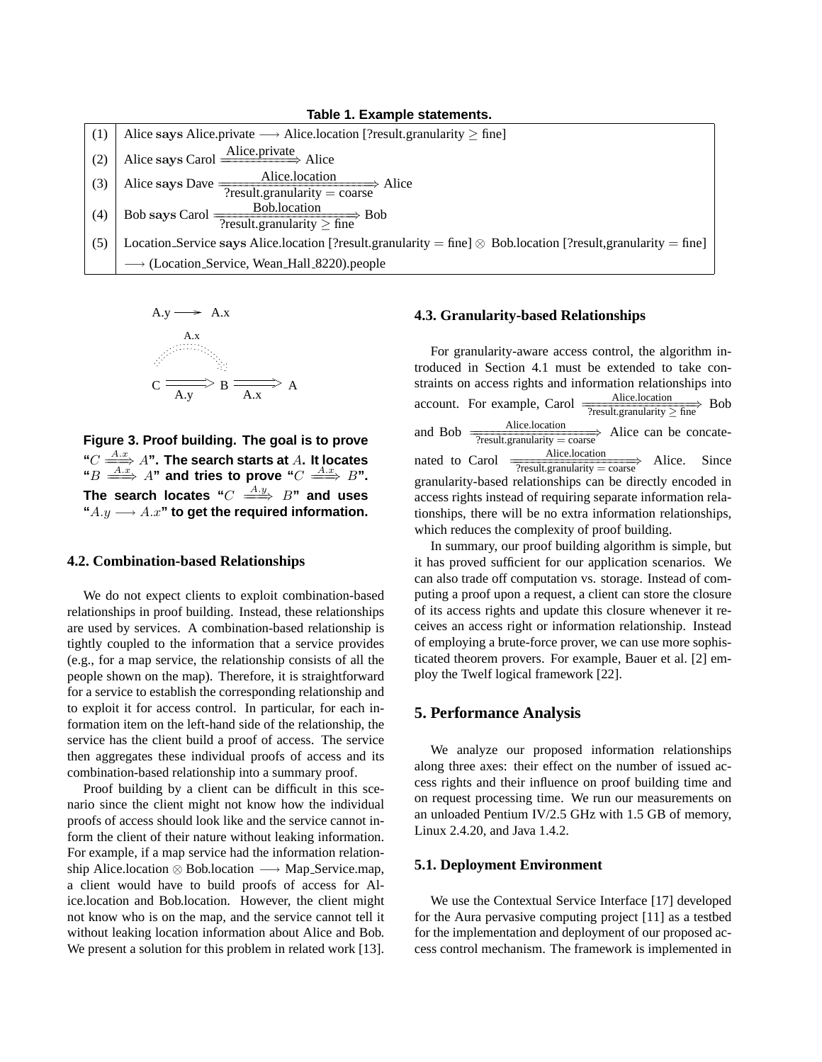**Table 1. Example statements.**

| (1) | Alice says Alice private $\longrightarrow$ Alice location [?result granularity $\geq$ fine]                           |  |  |
|-----|-----------------------------------------------------------------------------------------------------------------------|--|--|
| (2) | Alice says Carol $\frac{\text{Alice private}}{\text{Alice}}$ Alice                                                    |  |  |
| (3) | Alice says Dave $\frac{\text{Alice.location}}{\text{?result. granularity}}$ Alice                                     |  |  |
| (4) | Bob says Carol $\frac{\text{Bob.location}}{\text{?result. granularity} \ge \text{fine}}$ Bob                          |  |  |
| (5) | Location Service says Alice location [?result.granularity = fine] $\otimes$ Bob location [?result.granularity = fine] |  |  |
|     | $\longrightarrow$ (Location Service, Wean Hall 8220).people                                                           |  |  |

A.y 
$$
\longrightarrow
$$
 A.x  
A.x  
C  
 $\longrightarrow$  B  
A x  
 $\longleftarrow$  A  
A

**Figure 3. Proof building. The goal is to prove "**C A.x ====⇒ A**". The search starts at** A**. It locates**  $\text{``}B \overset{A.x}{\Longrightarrow} A \text{''}$  and tries to prove  $\text{``}C \overset{A.x}{\Longrightarrow} B \text{''}.$ The search locates " $C \stackrel{A.y}{\implies} B$ " and uses **"**A.y −→ A.x**" to get the required information.**

#### **4.2. Combination-based Relationships**

We do not expect clients to exploit combination-based relationships in proof building. Instead, these relationships are used by services. A combination-based relationship is tightly coupled to the information that a service provides (e.g., for a map service, the relationship consists of all the people shown on the map). Therefore, it is straightforward for a service to establish the corresponding relationship and to exploit it for access control. In particular, for each information item on the left-hand side of the relationship, the service has the client build a proof of access. The service then aggregates these individual proofs of access and its combination-based relationship into a summary proof.

Proof building by a client can be difficult in this scenario since the client might not know how the individual proofs of access should look like and the service cannot inform the client of their nature without leaking information. For example, if a map service had the information relationship Alice.location ⊗ Bob.location → Map Service.map, a client would have to build proofs of access for Alice.location and Bob.location. However, the client might not know who is on the map, and the service cannot tell it without leaking location information about Alice and Bob. We present a solution for this problem in related work [13].

### **4.3. Granularity-based Relationships**

For granularity-aware access control, the algorithm introduced in Section 4.1 must be extended to take constraints on access rights and information relationships into account. For example, Carol  $\frac{\text{Alice.location}}{\text{?result. granularity} \ge \text{fine}}$  Bob and Bob  $\frac{\text{Alice.location}}{\text{Testult.granularity} = \text{coarse}}$  Alice can be concatenated to Carol  $\frac{\text{Alice.location}}{\text{Testult.granularity}}$  Alice. Since granularity-based relationships can be directly encoded in access rights instead of requiring separate information relationships, there will be no extra information relationships, which reduces the complexity of proof building.

In summary, our proof building algorithm is simple, but it has proved sufficient for our application scenarios. We can also trade off computation vs. storage. Instead of computing a proof upon a request, a client can store the closure of its access rights and update this closure whenever it receives an access right or information relationship. Instead of employing a brute-force prover, we can use more sophisticated theorem provers. For example, Bauer et al. [2] employ the Twelf logical framework [22].

### **5. Performance Analysis**

We analyze our proposed information relationships along three axes: their effect on the number of issued access rights and their influence on proof building time and on request processing time. We run our measurements on an unloaded Pentium IV/2.5 GHz with 1.5 GB of memory, Linux 2.4.20, and Java 1.4.2.

### **5.1. Deployment Environment**

We use the Contextual Service Interface [17] developed for the Aura pervasive computing project [11] as a testbed for the implementation and deployment of our proposed access control mechanism. The framework is implemented in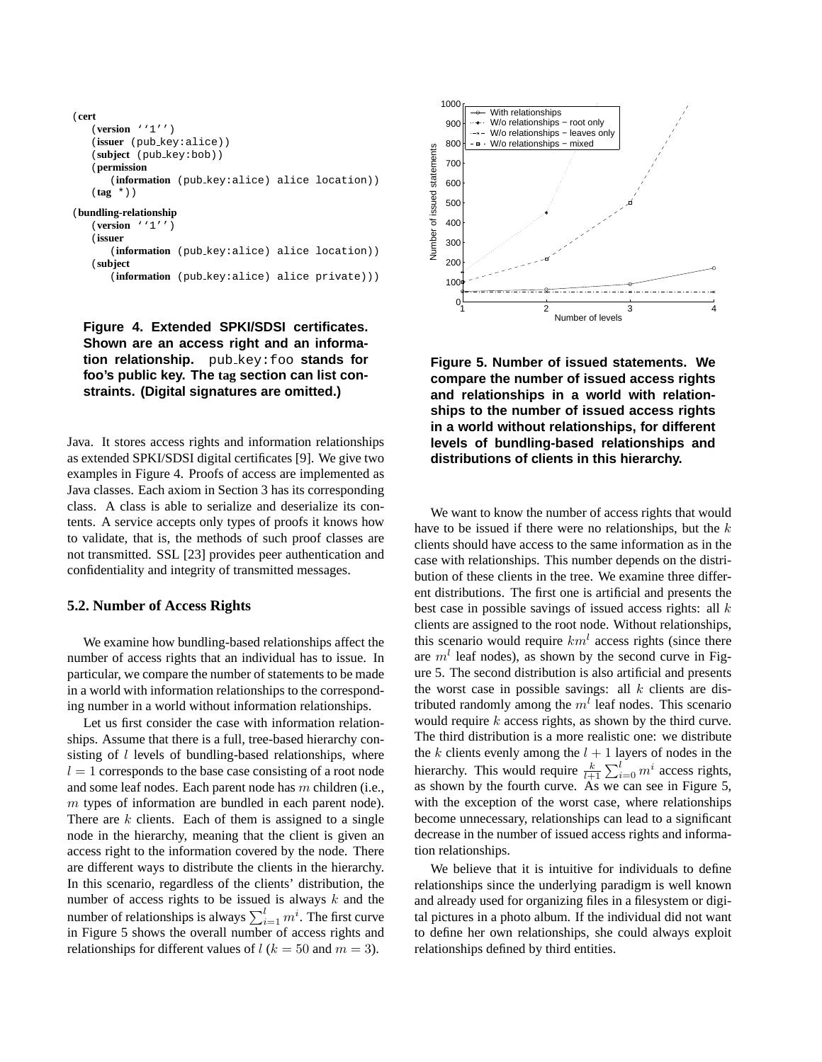```
(cert
   (version ''1'')
   (issuer (pub key:alice))
   (subject (pub key:bob))
   (permission
      (information (pub key:alice) alice location))
   (tag *))
(bundling-relationship
   (version ''1'')
   (issuer
       (information (pub key:alice) alice location))
   (subject
       (information (pub key:alice) alice private)))
```
**Figure 4. Extended SPKI/SDSI certificates. Shown are an access right and an information relationship.** pub key:foo **stands for foo's public key. The tag section can list constraints. (Digital signatures are omitted.)**

Java. It stores access rights and information relationships as extended SPKI/SDSI digital certificates [9]. We give two examples in Figure 4. Proofs of access are implemented as Java classes. Each axiom in Section 3 has its corresponding class. A class is able to serialize and deserialize its contents. A service accepts only types of proofs it knows how to validate, that is, the methods of such proof classes are not transmitted. SSL [23] provides peer authentication and confidentiality and integrity of transmitted messages.

#### **5.2. Number of Access Rights**

We examine how bundling-based relationships affect the number of access rights that an individual has to issue. In particular, we compare the number of statements to be made in a world with information relationships to the corresponding number in a world without information relationships.

Let us first consider the case with information relationships. Assume that there is a full, tree-based hierarchy consisting of  $l$  levels of bundling-based relationships, where  $l = 1$  corresponds to the base case consisting of a root node and some leaf nodes. Each parent node has m children (i.e., m types of information are bundled in each parent node). There are  $k$  clients. Each of them is assigned to a single node in the hierarchy, meaning that the client is given an access right to the information covered by the node. There are different ways to distribute the clients in the hierarchy. In this scenario, regardless of the clients' distribution, the number of access rights to be issued is always  $k$  and the number of relationships is always  $\sum_{i=1}^{l} m^i$ . The first curve in Figure 5 shows the overall number of access rights and relationships for different values of  $l (k = 50$  and  $m = 3)$ .



**Figure 5. Number of issued statements. We compare the number of issued access rights and relationships in a world with relationships to the number of issued access rights in a world without relationships, for different levels of bundling-based relationships and distributions of clients in this hierarchy.**

We want to know the number of access rights that would have to be issued if there were no relationships, but the  $k$ clients should have access to the same information as in the case with relationships. This number depends on the distribution of these clients in the tree. We examine three different distributions. The first one is artificial and presents the best case in possible savings of issued access rights: all  $k$ clients are assigned to the root node. Without relationships, this scenario would require  $km^l$  access rights (since there are  $m<sup>l</sup>$  leaf nodes), as shown by the second curve in Figure 5. The second distribution is also artificial and presents the worst case in possible savings: all  $k$  clients are distributed randomly among the  $m<sup>l</sup>$  leaf nodes. This scenario would require k access rights, as shown by the third curve. The third distribution is a more realistic one: we distribute the k clients evenly among the  $l + 1$  layers of nodes in the hierarchy. This would require  $\frac{k}{l+1} \sum_{i=0}^{l} m^i$  access rights, as shown by the fourth curve. As we can see in Figure 5, with the exception of the worst case, where relationships become unnecessary, relationships can lead to a significant decrease in the number of issued access rights and information relationships.

We believe that it is intuitive for individuals to define relationships since the underlying paradigm is well known and already used for organizing files in a filesystem or digital pictures in a photo album. If the individual did not want to define her own relationships, she could always exploit relationships defined by third entities.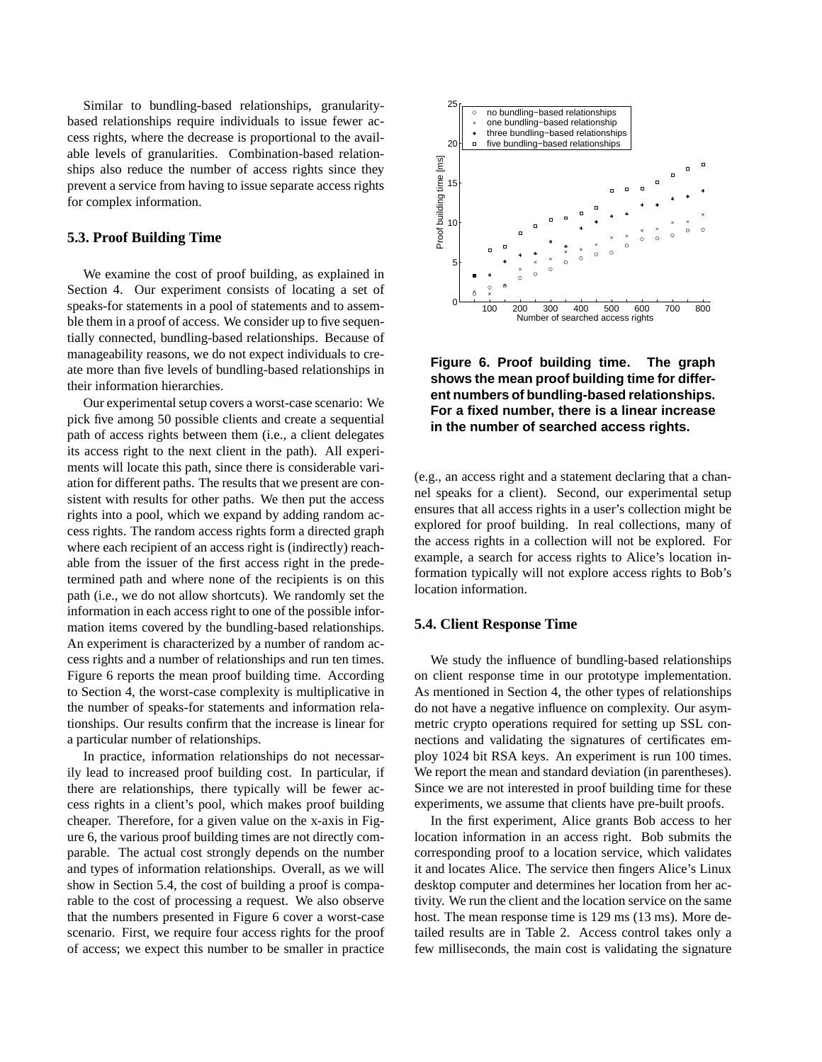Similar to bundling-based relationships, granularitybased relationships require individuals to issue fewer access rights, where the decrease is proportional to the available levels of granularities. Combination-based relationships also reduce the number of access rights since they prevent a service from having to issue separate access rights for complex information.

#### **5.3. Proof Building Time**

We examine the cost of proof building, as explained in Section 4. Our experiment consists of locating a set of speaks-for statements in a pool of statements and to assemble them in a proof of access. We consider up to five sequentially connected, bundling-based relationships. Because of manageability reasons, we do not expect individuals to create more than five levels of bundling-based relationships in their information hierarchies.

Our experimental setup covers a worst-case scenario: We pick five among 50 possible clients and create a sequential path of access rights between them (i.e., a client delegates its access right to the next client in the path). All experiments will locate this path, since there is considerable variation for different paths. The results that we present are consistent with results for other paths. We then put the access rights into a pool, which we expand by adding random access rights. The random access rights form a directed graph where each recipient of an access right is (indirectly) reachable from the issuer of the first access right in the predetermined path and where none of the recipients is on this path (i.e., we do not allow shortcuts). We randomly set the information in each access right to one of the possible information items covered by the bundling-based relationships. An experiment is characterized by a number of random access rights and a number of relationships and run ten times. Figure 6 reports the mean proof building time. According to Section 4, the worst-case complexity is multiplicative in the number of speaks-for statements and information relationships. Our results confirm that the increase is linear for a particular number of relationships.

In practice, information relationships do not necessarily lead to increased proof building cost. In particular, if there are relationships, there typically will be fewer access rights in a client's pool, which makes proof building cheaper. Therefore, for a given value on the x-axis in Figure 6, the various proof building times are not directly comparable. The actual cost strongly depends on the number and types of information relationships. Overall, as we will show in Section 5.4, the cost of building a proof is comparable to the cost of processing a request. We also observe that the numbers presented in Figure 6 cover a worst-case scenario. First, we require four access rights for the proof of access; we expect this number to be smaller in practice



**Figure 6. Proof building time. The graph shows the mean proof building time for different numbers of bundling-based relationships. For a fixed number, there is a linear increase in the number of searched access rights.**

(e.g., an access right and a statement declaring that a channel speaks for a client). Second, our experimental setup ensures that all access rights in a user's collection might be explored for proof building. In real collections, many of the access rights in a collection will not be explored. For example, a search for access rights to Alice's location information typically will not explore access rights to Bob's location information.

### **5.4. Client Response Time**

We study the influence of bundling-based relationships on client response time in our prototype implementation. As mentioned in Section 4, the other types of relationships do not have a negative influence on complexity. Our asymmetric crypto operations required for setting up SSL connections and validating the signatures of certificates employ 1024 bit RSA keys. An experiment is run 100 times. We report the mean and standard deviation (in parentheses). Since we are not interested in proof building time for these experiments, we assume that clients have pre-built proofs.

In the first experiment, Alice grants Bob access to her location information in an access right. Bob submits the corresponding proof to a location service, which validates it and locates Alice. The service then fingers Alice's Linux desktop computer and determines her location from her activity. We run the client and the location service on the same host. The mean response time is 129 ms (13 ms). More detailed results are in Table 2. Access control takes only a few milliseconds, the main cost is validating the signature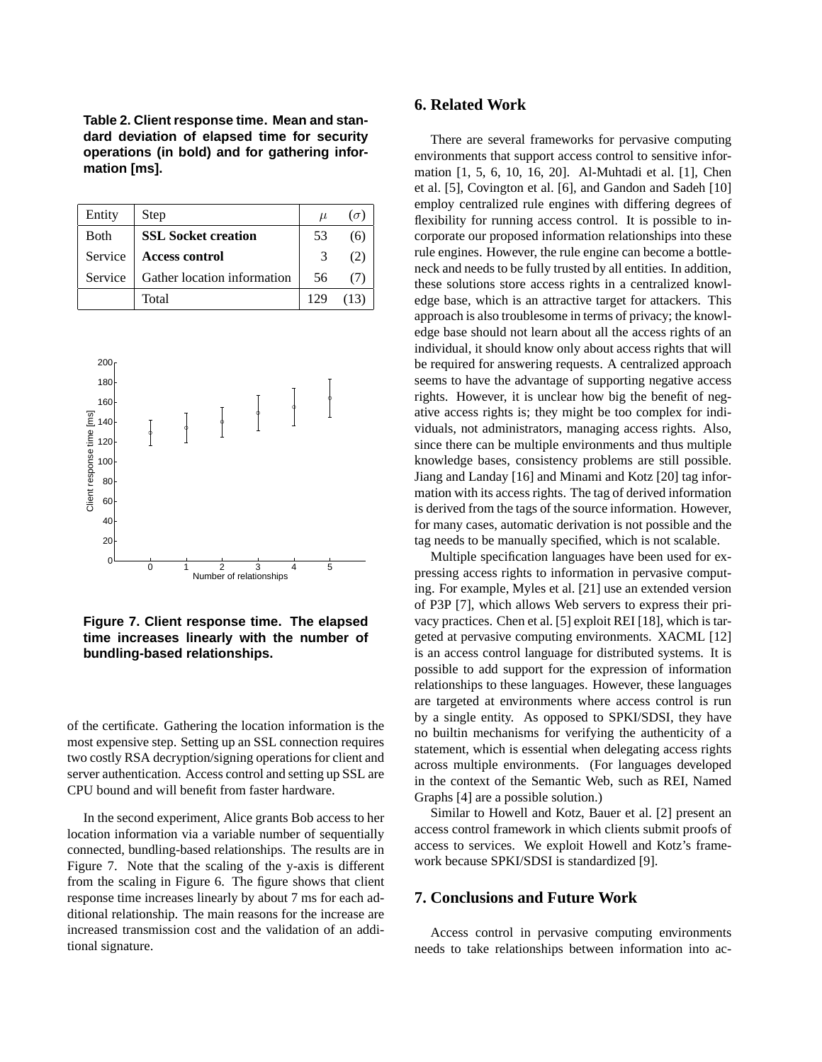**Table 2. Client response time. Mean and standard deviation of elapsed time for security operations (in bold) and for gathering information [ms].**

| Entity       | Step                        | $\mu$ | $\sigma$ |
|--------------|-----------------------------|-------|----------|
| <b>B</b> oth | <b>SSL Socket creation</b>  | 53    | 66       |
| Service      | <b>Access control</b>       | 3     | (2)      |
| Service      | Gather location information | 56    |          |
|              | Total                       |       |          |



**Figure 7. Client response time. The elapsed time increases linearly with the number of bundling-based relationships.**

of the certificate. Gathering the location information is the most expensive step. Setting up an SSL connection requires two costly RSA decryption/signing operations for client and server authentication. Access control and setting up SSL are CPU bound and will benefit from faster hardware.

In the second experiment, Alice grants Bob access to her location information via a variable number of sequentially connected, bundling-based relationships. The results are in Figure 7. Note that the scaling of the y-axis is different from the scaling in Figure 6. The figure shows that client response time increases linearly by about 7 ms for each additional relationship. The main reasons for the increase are increased transmission cost and the validation of an additional signature.

# **6. Related Work**

There are several frameworks for pervasive computing environments that support access control to sensitive information [1, 5, 6, 10, 16, 20]. Al-Muhtadi et al. [1], Chen et al. [5], Covington et al. [6], and Gandon and Sadeh [10] employ centralized rule engines with differing degrees of flexibility for running access control. It is possible to incorporate our proposed information relationships into these rule engines. However, the rule engine can become a bottleneck and needs to be fully trusted by all entities. In addition, these solutions store access rights in a centralized knowledge base, which is an attractive target for attackers. This approach is also troublesome in terms of privacy; the knowledge base should not learn about all the access rights of an individual, it should know only about access rights that will be required for answering requests. A centralized approach seems to have the advantage of supporting negative access rights. However, it is unclear how big the benefit of negative access rights is; they might be too complex for individuals, not administrators, managing access rights. Also, since there can be multiple environments and thus multiple knowledge bases, consistency problems are still possible. Jiang and Landay [16] and Minami and Kotz [20] tag information with its access rights. The tag of derived information is derived from the tags of the source information. However, for many cases, automatic derivation is not possible and the tag needs to be manually specified, which is not scalable.

Multiple specification languages have been used for expressing access rights to information in pervasive computing. For example, Myles et al. [21] use an extended version of P3P [7], which allows Web servers to express their privacy practices. Chen et al. [5] exploit REI [18], which is targeted at pervasive computing environments. XACML [12] is an access control language for distributed systems. It is possible to add support for the expression of information relationships to these languages. However, these languages are targeted at environments where access control is run by a single entity. As opposed to SPKI/SDSI, they have no builtin mechanisms for verifying the authenticity of a statement, which is essential when delegating access rights across multiple environments. (For languages developed in the context of the Semantic Web, such as REI, Named Graphs [4] are a possible solution.)

Similar to Howell and Kotz, Bauer et al. [2] present an access control framework in which clients submit proofs of access to services. We exploit Howell and Kotz's framework because SPKI/SDSI is standardized [9].

### **7. Conclusions and Future Work**

Access control in pervasive computing environments needs to take relationships between information into ac-